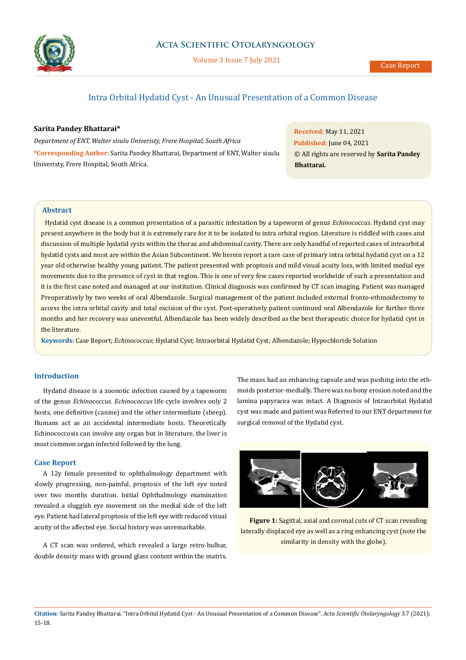

Volume 3 Issue 7 July 2021

# Intra Orbital Hydatid Cyst - An Unusual Presentation of a Common Disease

# **Sarita Pandey Bhattarai\***

*Department of ENT, Walter sisulu Univeristy, Frere Hospital, South Africa*  **\*Corresponding Author:** Sarita Pandey Bhattarai, Department of ENT, Walter sisulu Univeristy, Frere Hospital, South Africa.

**Received:** May 11, 2021 **Published:** June 04, 2021 © All rights are reserved by **Sarita Pandey Bhattarai***.*

## **Abstract**

 Hydatid cyst disease is a common presentation of a parasitic infestation by a tapeworm of genus *Echinococcus*. Hydatid cyst may present anywhere in the body but it is extremely rare for it to be isolated to intra orbital region. Literature is riddled with cases and discussion of multiple hydatid cysts within the thorax and abdominal cavity. There are only handful of reported cases of intraorbital hydatid cysts and most are within the Asian Subcontinent. We herein report a rare case of primary intra orbital hydatid cyst on a 12 year old otherwise healthy young patient. The patient presented with proptosis and mild visual acuity loss, with limited medial eye movements due to the presence of cyst in that region. This is one of very few cases reported worldwide of such a presentation and it is the first case noted and managed at our institution. Clinical diagnosis was confirmed by CT scan imaging. Patient was managed Preoperatively by two weeks of oral Albendazole. Surgical management of the patient included external fronto-ethmoidectomy to access the intra orbital cavity and total excision of the cyst. Post-operatively patient continued oral Albendazole for further three months and her recovery was uneventful. Albendazole has been widely described as the best therapeutic choice for hydatid cyst in the literature.

**Keywords:** Case Report; *Echinococcus*; Hydatid Cyst; Intraorbital Hydatid Cyst; Albendazole; Hypochloride Solution

# **Introduction**

Hydatid disease is a zoonotic infection caused by a tapeworm of the genus *Echinococcus. Echinococcus* life cycle involves only 2 hosts, one definitive (canine) and the other intermediate (sheep). Humans act as an accidental intermediate hosts. Theoretically Echinococcosis can involve any organ but in literature, the liver is most common organ infected followed by the lung.

### **Case Report**

A 12y female presented to ophthalmology department with slowly progressing, non-painful, proptosis of the left eye noted over two months duration. Initial Ophthalmology examination revealed a sluggish eye movement on the medial side of the left eye. Patient had lateral proptosis of the left eye with reduced visual acuity of the affected eye. Social history was unremarkable.

A CT scan was ordered, which revealed a large retro-bulbar, double density mass with ground glass content within the matrix. The mass had an enhancing capsule and was pushing into the ethmoids posterior-medially. There was no bony erosion noted and the lamina papyracea was intact. A Diagnosis of Intraorbital Hydatid cyst was made and patient was Referred to our ENT department for surgical removal of the Hydatid cyst.



**Figure 1:** Sagittal, axial and coronal cuts of CT scan revealing laterally displaced eye as well as a ring enhancing cyst (note the similarity in density with the globe).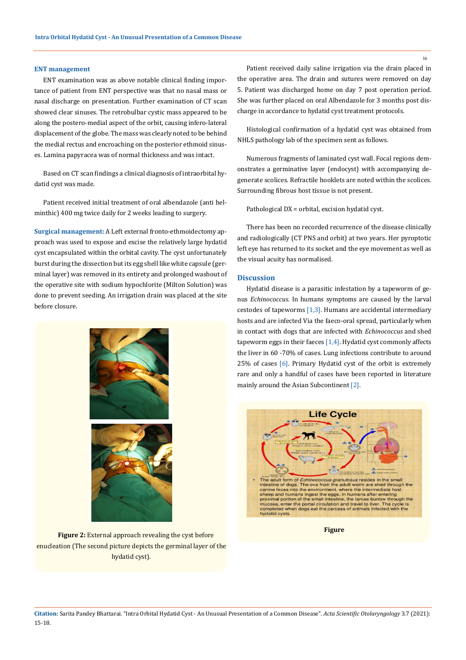#### **ENT management**

ENT examination was as above notable clinical finding importance of patient from ENT perspective was that no nasal mass or nasal discharge on presentation. Further examination of CT scan showed clear sinuses. The retrobulbar cystic mass appeared to be along the postero-medial aspect of the orbit, causing infero-lateral displacement of the globe. The mass was clearly noted to be behind the medial rectus and encroaching on the posterior ethmoid sinuses. Lamina papyracea was of normal thickness and was intact.

Based on CT scan findings a clinical diagnosis of intraorbital hydatid cyst was made.

Patient received initial treatment of oral albendazole (anti helminthic) 400 mg twice daily for 2 weeks leading to surgery.

**Surgical management:** A Left external fronto-ethmoidectomy approach was used to expose and excise the relatively large hydatid cyst encapsulated within the orbital cavity. The cyst unfortunately burst during the dissection but its egg shell like white capsule (germinal layer) was removed in its entirety and prolonged washout of the operative site with sodium hypochlorite (Milton Solution) was done to prevent seeding. An irrigation drain was placed at the site before closure.



**Figure 2:** External approach revealing the cyst before enucleation (The second picture depicts the germinal layer of the hydatid cyst).

Patient received daily saline irrigation via the drain placed in the operative area. The drain and sutures were removed on day 5. Patient was discharged home on day 7 post operation period. She was further placed on oral Albendazole for 3 months post discharge in accordance to hydatid cyst treatment protocols.

Histological confirmation of a hydatid cyst was obtained from

Numerous fragments of laminated cyst wall. Focal regions demonstrates a germinative layer (endocyst) with accompanying degenerate scolices. Refractile hooklets are noted within the scolices. Surrounding fibrous host tissue is not present.

Pathological DX = orbital, excision hydatid cyst.

There has been no recorded recurrence of the disease clinically and radiologically (CT PNS and orbit) at two years. Her pyroptotic left eye has returned to its socket and the eye movement as well as the visual acuity has normalised.

#### **Discussion**

Hydatid disease is a parasitic infestation by a tapeworm of genus *Echinococcus*. In humans symptoms are caused by the larval cestodes of tapeworms  $[1,3]$ . Humans are accidental intermediary hosts and are infected Via the faeco-oral spread, particularly when in contact with dogs that are infected with *Echinococcus* and shed tapeworm eggs in their faeces  $[1,4]$ . Hydatid cyst commonly affects the liver in 60 -70% of cases. Lung infections contribute to around 25% of cases [6]. Primary Hydatid cyst of the orbit is extremely rare and only a handful of cases have been reported in literature mainly around the Asian Subcontinent [2].



**Figure** 

NHLS pathology lab of the specimen sent as follows.

**Citation:** Sarita Pandey Bhattarai*.* "Intra Orbital Hydatid Cyst - An Unusual Presentation of a Common Disease". *Acta Scientific Otolaryngology* 3.7 (2021): 15-18.

16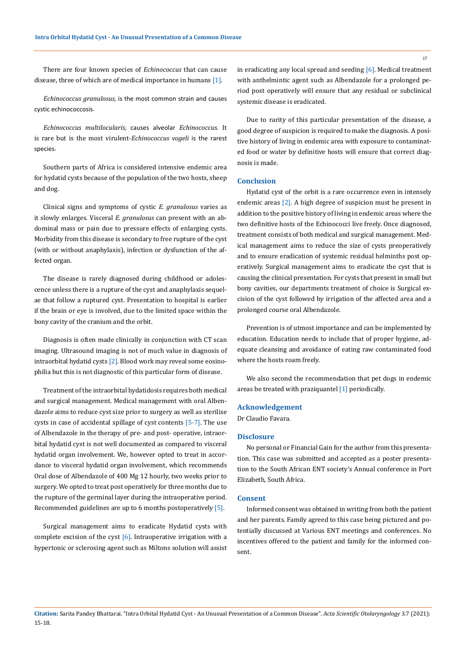There are four known species of *Echinococcus* that can cause disease, three of which are of medical importance in humans [1].

*Echinococcus granulosus,* is the most common strain and causes cystic echinococcosis.

*Echinococcus multilocularis,* causes alveolar *Echinococcus*. It is rare but is the most virulent-*Echinococcus vogeli* is the rarest species.

Southern parts of Africa is considered intensive endemic area for hydatid cysts because of the population of the two hosts, sheep and dog.

Clinical signs and symptoms of cystic *E. granulosus* varies as it slowly enlarges. Visceral *E. granulosus* can present with an abdominal mass or pain due to pressure effects of enlarging cysts. Morbidity from this disease is secondary to free rupture of the cyst (with or without anaphylaxis), infection or dysfunction of the affected organ.

The disease is rarely diagnosed during childhood or adolescence unless there is a rupture of the cyst and anaphylaxis sequelae that follow a ruptured cyst. Presentation to hospital is earlier if the brain or eye is involved, due to the limited space within the bony cavity of the cranium and the orbit.

Diagnosis is often made clinically in conjunction with CT scan imaging. Ultrasound imaging is not of much value in diagnosis of intraorbital hydatid cysts [2]. Blood work may reveal some eosinophilia but this is not diagnostic of this particular form of disease.

Treatment of the intraorbital hydatidosis requires both medical and surgical management. Medical management with oral Albendazole aims to reduce cyst size prior to surgery as well as sterilise cysts in case of accidental spillage of cyst contents [5-7]. The use of Albendazole in the therapy of pre- and post- operative, intraorbital hydatid cyst is not well documented as compared to visceral hydatid organ involvement. We, however opted to treat in accordance to visceral hydatid organ involvement, which recommends Oral dose of Albendazole of 400 Mg 12 hourly, two weeks prior to surgery. We opted to treat post operatively for three months due to the rupture of the germinal layer during the intraoperative period. Recommended guidelines are up to 6 months postoperatively [5].

Surgical management aims to eradicate Hydatid cysts with complete excision of the cyst [6]. Intraoperative irrigation with a hypertonic or sclerosing agent such as Miltons solution will assist in eradicating any local spread and seeding  $[6]$ . Medical treatment with anthelmintic agent such as Albendazole for a prolonged period post operatively will ensure that any residual or subclinical systemic disease is eradicated.

Due to rarity of this particular presentation of the disease, a good degree of suspicion is required to make the diagnosis. A positive history of living in endemic area with exposure to contaminated food or water by definitive hosts will ensure that correct diagnosis is made.

### **Conclusion**

Hydatid cyst of the orbit is a rare occurrence even in intensely endemic areas [2]. A high degree of suspicion must be present in addition to the positive history of living in endemic areas where the two definitive hosts of the Echinococci live freely. Once diagnosed, treatment consists of both medical and surgical management. Medical management aims to reduce the size of cysts preoperatively and to ensure eradication of systemic residual helminths post operatively. Surgical management aims to eradicate the cyst that is causing the clinical presentation. For cysts that present in small but bony cavities, our departments treatment of choice is Surgical excision of the cyst followed by irrigation of the affected area and a prolonged course oral Albendazole.

Prevention is of utmost importance and can be implemented by education. Education needs to include that of proper hygiene, adequate cleansing and avoidance of eating raw contaminated food where the hosts roam freely.

We also second the recommendation that pet dogs in endemic areas be treated with praziquantel [1] periodically.

#### **Acknowledgement**

Dr Claudio Favara.

#### **Disclosure**

No personal or Financial Gain for the author from this presentation. This case was submitted and accepted as a poster presentation to the South African ENT society's Annual conference in Port Elizabeth, South Africa.

#### **Consent**

Informed consent was obtained in writing from both the patient and her parents. Family agreed to this case being pictured and potentially discussed at Various ENT meetings and conferences. No incentives offered to the patient and family for the informed consent.

17